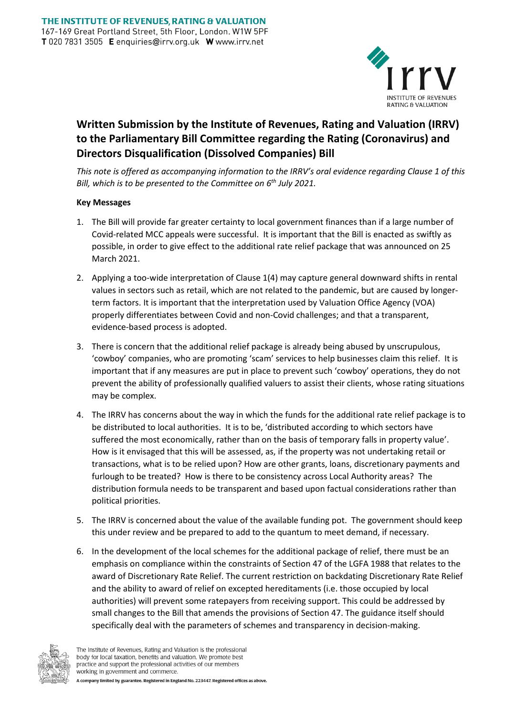

## **Written Submission by the Institute of Revenues, Rating and Valuation (IRRV) to the Parliamentary Bill Committee regarding the Rating (Coronavirus) and Directors Disqualification (Dissolved Companies) Bill**

*This note is offered as accompanying information to the IRRV's oral evidence regarding Clause 1 of this Bill, which is to be presented to the Committee on 6th July 2021.*

## **Key Messages**

- 1. The Bill will provide far greater certainty to local government finances than if a large number of Covid-related MCC appeals were successful. It is important that the Bill is enacted as swiftly as possible, in order to give effect to the additional rate relief package that was announced on 25 March 2021.
- 2. Applying a too-wide interpretation of Clause 1(4) may capture general downward shifts in rental values in sectors such as retail, which are not related to the pandemic, but are caused by longerterm factors. It is important that the interpretation used by Valuation Office Agency (VOA) properly differentiates between Covid and non-Covid challenges; and that a transparent, evidence-based process is adopted.
- 3. There is concern that the additional relief package is already being abused by unscrupulous, 'cowboy' companies, who are promoting 'scam' services to help businesses claim this relief. It is important that if any measures are put in place to prevent such 'cowboy' operations, they do not prevent the ability of professionally qualified valuers to assist their clients, whose rating situations may be complex.
- 4. The IRRV has concerns about the way in which the funds for the additional rate relief package is to be distributed to local authorities. It is to be, 'distributed according to which sectors have suffered the most economically, rather than on the basis of temporary falls in property value'. How is it envisaged that this will be assessed, as, if the property was not undertaking retail or transactions, what is to be relied upon? How are other grants, loans, discretionary payments and furlough to be treated? How is there to be consistency across Local Authority areas? The distribution formula needs to be transparent and based upon factual considerations rather than political priorities.
- 5. The IRRV is concerned about the value of the available funding pot. The government should keep this under review and be prepared to add to the quantum to meet demand, if necessary.
- 6. In the development of the local schemes for the additional package of relief, there must be an emphasis on compliance within the constraints of Section 47 of the LGFA 1988 that relates to the award of Discretionary Rate Relief. The current restriction on backdating Discretionary Rate Relief and the ability to award of relief on excepted hereditaments (i.e. those occupied by local authorities) will prevent some ratepayers from receiving support. This could be addressed by small changes to the Bill that amends the provisions of Section 47. The guidance itself should specifically deal with the parameters of schemes and transparency in decision-making.

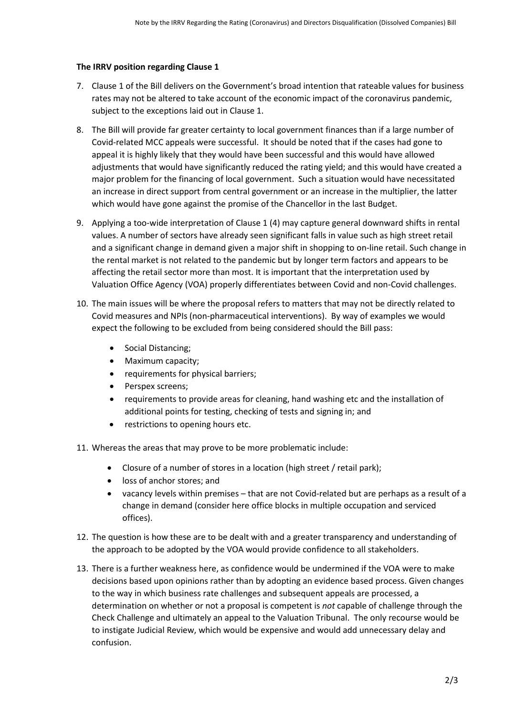## **The IRRV position regarding Clause 1**

- 7. Clause 1 of the Bill delivers on the Government's broad intention that rateable values for business rates may not be altered to take account of the economic impact of the coronavirus pandemic, subject to the exceptions laid out in Clause 1.
- 8. The Bill will provide far greater certainty to local government finances than if a large number of Covid-related MCC appeals were successful. It should be noted that if the cases had gone to appeal it is highly likely that they would have been successful and this would have allowed adjustments that would have significantly reduced the rating yield; and this would have created a major problem for the financing of local government. Such a situation would have necessitated an increase in direct support from central government or an increase in the multiplier, the latter which would have gone against the promise of the Chancellor in the last Budget.
- 9. Applying a too-wide interpretation of Clause 1 (4) may capture general downward shifts in rental values. A number of sectors have already seen significant falls in value such as high street retail and a significant change in demand given a major shift in shopping to on-line retail. Such change in the rental market is not related to the pandemic but by longer term factors and appears to be affecting the retail sector more than most. It is important that the interpretation used by Valuation Office Agency (VOA) properly differentiates between Covid and non-Covid challenges.
- 10. The main issues will be where the proposal refers to matters that may not be directly related to Covid measures and NPIs (non-pharmaceutical interventions). By way of examples we would expect the following to be excluded from being considered should the Bill pass:
	- Social Distancing;
	- Maximum capacity;
	- requirements for physical barriers;
	- Perspex screens;
	- requirements to provide areas for cleaning, hand washing etc and the installation of additional points for testing, checking of tests and signing in; and
	- restrictions to opening hours etc.
- 11. Whereas the areas that may prove to be more problematic include:
	- Closure of a number of stores in a location (high street / retail park);
	- loss of anchor stores; and
	- vacancy levels within premises that are not Covid-related but are perhaps as a result of a change in demand (consider here office blocks in multiple occupation and serviced offices).
- 12. The question is how these are to be dealt with and a greater transparency and understanding of the approach to be adopted by the VOA would provide confidence to all stakeholders.
- 13. There is a further weakness here, as confidence would be undermined if the VOA were to make decisions based upon opinions rather than by adopting an evidence based process. Given changes to the way in which business rate challenges and subsequent appeals are processed, a determination on whether or not a proposal is competent is *not* capable of challenge through the Check Challenge and ultimately an appeal to the Valuation Tribunal. The only recourse would be to instigate Judicial Review, which would be expensive and would add unnecessary delay and confusion.